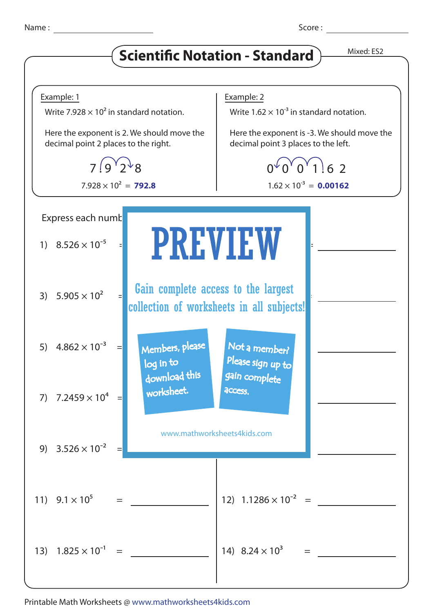## **Scientific Notation - Standard** Mixed: ES2



Printable Math Worksheets @ www.mathworksheets4kids.com